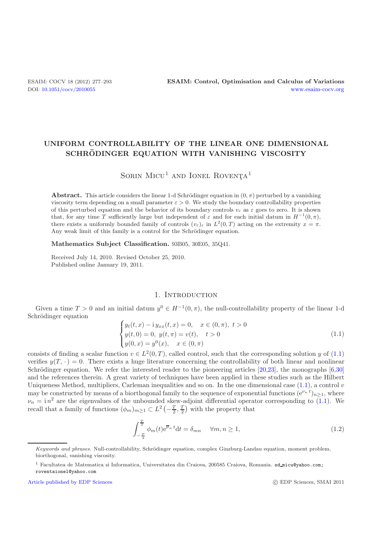# **UNIFORM CONTROLLABILITY OF THE LINEAR ONE DIMENSIONAL SCHRODINGER EQUATION WITH VANISHING VISCOSITY ¨**

# SORIN MICU<sup>1</sup> AND IONEL ROVENTA<sup>1</sup>

**Abstract.** This article considers the linear 1-d Schrödinger equation in  $(0, \pi)$  perturbed by a vanishing viscosity term depending on a small parameter  $\varepsilon > 0$ . We study the boundary controllability properties of this perturbed equation and the behavior of its boundary controls  $v_{\varepsilon}$  as  $\varepsilon$  goes to zero. It is shown that, for any time T sufficiently large but independent of  $\varepsilon$  and for each initial datum in  $H^{-1}(0, \pi)$ , there exists a uniformly bounded family of controls  $(v_{\varepsilon})_{\varepsilon}$  in  $L^2(0,T)$  acting on the extremity  $x = \pi$ . Any weak limit of this family is a control for the Schrödinger equation.

**Mathematics Subject Classification.** 93B05, 30E05, 35Q41.

Received July 14, 2010. Revised October 25, 2010. Published online January 19, 2011.

#### 1. INTRODUCTION

Given a time  $T > 0$  and an initial datum  $y^0 \in H^{-1}(0, \pi)$ , the null-controllability property of the linear 1-d Schrödinger equation

$$
\begin{cases}\ny_t(t,x) - iy_{xx}(t,x) = 0, & x \in (0,\pi), \ t > 0 \\
y(t,0) = 0, \ y(t,\pi) = v(t), \ t > 0 \\
y(0,x) = y^0(x), \ x \in (0,\pi)\n\end{cases}
$$
\n(1.1)

<span id="page-0-0"></span>consists of finding a scalar function  $v \in L^2(0,T)$ , called control, such that the corresponding solution y of [\(1.1\)](#page-0-0)<br>verifies  $u(T, \cdot) = 0$ . There exists a bugge literature concerning the controllability of both linear and p verifies  $y(T, \cdot) = 0$ . There exists a huge literature concerning the controllability of both linear and nonlinear Schrödinger equation. We refer the interested reader to the pioneering articles  $[20,23]$  $[20,23]$ , the monographs  $[6,30]$  $[6,30]$  $[6,30]$ and the references therein. A great variety of techniques have been applied in these studies such as the Hilbert Uniqueness Method, multipliers, Carleman inequalities and so on. In the one dimensional case  $(1.1)$ , a control v may be constructed by means of a biorthogonal family to the sequence of exponential functions  $(e^{\nu_n t})_{n\geq 1}$ , where  $\nu_n = i n^2$  are the eigenvalues of the unbounded skew-adjoint differential operator corresponding to [\(1.1\)](#page-0-0). We<br>recall that a family of functions  $\phi_n$ ,  $\sigma I^2(-T/T)$  with the property that recall that a family of functions  $(\phi_m)_{m \geq 1} \subset L^2\left(-\frac{T}{2}, \frac{T}{2}\right)$  with the property that

<span id="page-0-1"></span>
$$
\int_{-\frac{T}{2}}^{\frac{T}{2}} \phi_m(t) e^{\overline{\nu}_n t} dt = \delta_{mn} \quad \forall m, n \ge 1,
$$
\n(1.2)

[Article published by EDP Sciences](http://www.edpsciences.org)

c EDP Sciences, SMAI 2011

Keywords and phrases. Null-controllability, Schrödinger equation, complex Ginzburg-Landau equation, moment problem, biorthogonal, vanishing viscosity.

<sup>&</sup>lt;sup>1</sup> Facultatea de Matematica si Informatica, Universitatea din Craiova, 200585 Craiova, Romania. sd\_micu@yahoo.com; roventaionel@yahoo.com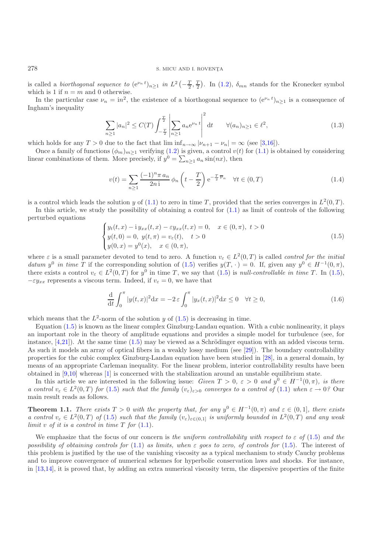### 278 S. MICU AND I. ROVENȚA

is called a *biorthogonal sequence to*  $(e^{\nu_n t})_{n\geq 1}$  *in*  $L^2(-\frac{T}{2}, \frac{T}{2})$ . In [\(1.2\)](#page-0-1),  $\delta_{mn}$  stands for the Kronecker symbol which is 1 if  $n = m$  and 0 otherwise which is 1 if  $n = m$  and 0 otherwise.

In the particular case  $\nu_n = in^2$ , the existence of a biorthogonal sequence to  $(e^{\nu_n t})_{n \ge 1}$  is a consequence of them's inequality Ingham's inequality

$$
\sum_{n\geq 1} |a_n|^2 \leq C(T) \int_{-\frac{T}{2}}^{\frac{T}{2}} \left| \sum_{n\geq 1} a_n e^{\nu_n t} \right|^2 dt \qquad \forall (a_n)_{n\geq 1} \in \ell^2,
$$
\n(1.3)

<span id="page-1-2"></span>which holds for any  $T > 0$  due to the fact that  $\liminf_{n \to \infty} |\nu_{n+1} - \nu_n| = \infty$  (see [\[3](#page-15-1)[,16](#page-16-3)]).

Once a family of functions  $(\phi_m)_{m\geq 1}$  verifying [\(1.2\)](#page-0-1) is given, a control  $v(t)$  for [\(1.1\)](#page-0-0) is obtained by considering<br>ear combinations of them. More precisely if  $v^0 = \sum_{n=1}^{\infty} a_n \sin(nx)$ , then linear combinations of them. More precisely, if  $y^0 = \sum_{n \geq 1} a_n \sin(nx)$ , then

$$
v(t) = \sum_{n\geq 1} \frac{(-1)^n \pi a_n}{2n i} \phi_n \left( t - \frac{T}{2} \right) e^{-\frac{T}{2} \overline{\nu}_n} \quad \forall t \in (0, T)
$$
 (1.4)

<span id="page-1-1"></span>is a control which leads the solution y of [\(1.1\)](#page-0-0) to zero in time T, provided that the series converges in  $L^2(0,T)$ .

In this article, we study the possibility of obtaining a control for  $(1.1)$  as limit of controls of the following perturbed equations

$$
\begin{cases}\ny_t(t,x) - i y_{xx}(t,x) - \varepsilon y_{xx}(t,x) = 0, & x \in (0,\pi), \ t > 0 \\
y(t,0) = 0, \ y(t,\pi) = v_{\varepsilon}(t), \ t > 0 \\
y(0,x) = y^0(x), \ x \in (0,\pi),\n\end{cases}
$$
\n(1.5)

<span id="page-1-0"></span>where  $\varepsilon$  is a small parameter devoted to tend to zero. A function  $v_{\varepsilon} \in L^2(0,T)$  is called *control for the initial*<br>datum  $v^0$  in time T if the corresponding solution of (1.5) verifies  $v(T, \cdot) = 0$  If given any  $v$ *datum*  $y^0$  *in time* T if the corresponding solution of [\(1.5\)](#page-1-0) verifies  $y(T, \cdot) = 0$ . If, given any  $y^0 \in H^{-1}(0, \pi)$ , there exists a control  $v_{\varepsilon} \in L^2(0,T)$  for  $y^0$  in time T, we say that  $(1.5)$  is *null-controllable in time T*. In  $(1.5)$ ,  $-\varepsilon y_{xx}$  represents a viscous term. Indeed, if  $v_{\varepsilon} = 0$ , we have that

$$
\frac{\mathrm{d}}{\mathrm{d}t} \int_0^\pi |y(t,x)|^2 \mathrm{d}x = -2\varepsilon \int_0^\pi |y_x(t,x)|^2 \mathrm{d}x \le 0 \quad \forall t \ge 0,\tag{1.6}
$$

which means that the  $L^2$ -norm of the solution y of  $(1.5)$  is decreasing in time.

Equation [\(1.5\)](#page-1-0) is known as the linear complex Ginzburg-Landau equation. With a cubic nonlinearity, it plays an important role in the theory of amplitude equations and provides a simple model for turbulence (see, for instance,  $[4,21]$  $[4,21]$ . At the same time  $(1.5)$  may be viewed as a Schrödinger equation with an added viscous term. As such it models an array of optical fibers in a weakly lossy medium (see [\[29\]](#page-16-5)). The boundary controllability properties for the cubic complex Ginzburg-Landau equation have been studied in [\[28](#page-16-6)], in a general domain, by means of an appropriate Carleman inequality. For the linear problem, interior controllability results have been obtained in [\[9](#page-15-3)[,10](#page-15-4)] whereas [\[1\]](#page-15-5) is concerned with the stabilization around an unstable equilibrium state.

In this article we are interested in the following issue: *Given*  $T > 0$ ,  $\varepsilon > 0$  *and*  $y^0 \in H^{-1}(0, \pi)$ *, is there a control*  $v_{\varepsilon} \in L^2(0,T)$  *for* [\(1.5\)](#page-1-0) *such that the family*  $(v_{\varepsilon})_{\varepsilon>0}$  *converges to a control of* [\(1.1\)](#page-0-0) *when*  $\varepsilon \to 0$ ? Our main result reads as follows.

<span id="page-1-3"></span>**Theorem 1.1.** *There exists*  $T > 0$  *with the property that, for any*  $y^0 \in H^{-1}(0, \pi)$  *and*  $\varepsilon \in (0, 1]$ *, there exists a control*  $v_{\varepsilon} \in L^2(0,T)$  *of* [\(1.5\)](#page-1-0) *such that the family*  $(v_{\varepsilon})_{\varepsilon \in (0,1]}$  *is uniformly bounded in*  $L^2(0,T)$  *and any weak limit* v of *it is a control in time*  $T$  *for*  $(1.1)$ *.* 

We emphasize that the focus of our concern is *the uniform controllability with respect to*  $\varepsilon$  of [\(1.5\)](#page-1-0) *and the possibility of obtaining controls for* [\(1.1\)](#page-0-0) *as limits, when* ε *goes to zero, of controls for* [\(1.5\)](#page-1-0). The interest of this problem is justified by the use of the vanishing viscosity as a typical mechanism to study Cauchy problems and to improve convergence of numerical schemes for hyperbolic conservation laws and shocks. For instance, in [\[13](#page-16-7)[,14](#page-16-8)], it is proved that, by adding an extra numerical viscosity term, the dispersive properties of the finite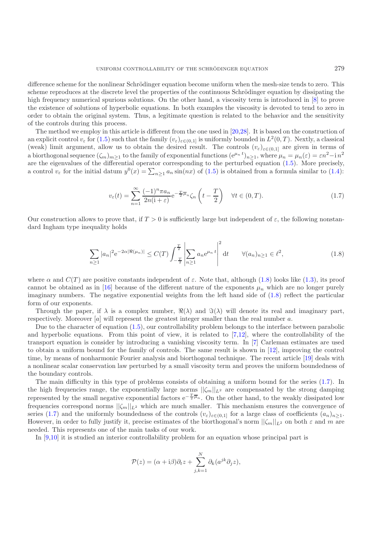difference scheme for the nonlinear Schrödinger equation become uniform when the mesh-size tends to zero. This scheme reproduces at the discrete level the properties of the continuous Schrödinger equation by dissipating the high frequency numerical spurious solutions. On the other hand, a viscosity term is introduced in [\[8\]](#page-15-6) to prove the existence of solutions of hyperbolic equations. In both examples the viscosity is devoted to tend to zero in order to obtain the original system. Thus, a legitimate question is related to the behavior and the sensitivity of the controls during this process.

The method we employ in this article is different from the one used in [\[20](#page-16-0)[,28\]](#page-16-6). It is based on the construction of an explicit control  $v_{\varepsilon}$  for [\(1.5\)](#page-1-0) such that the family  $(v_{\varepsilon})_{\varepsilon\in(0,1]}$  is uniformly bounded in  $L^2(0,T)$ . Nextly, a classical (weak) limit argument, allow us to obtain the desired result. The controls  $(v_{\varepsilon})_{\varepsilon\in(0,1]}$  are given in terms of a biorthogonal sequence  $(\zeta_m)_{m\geq 1}$  to the family of exponential functions  $(e^{\mu_n t})_{n\geq 1}$ , where  $\mu_n = \mu_n(\varepsilon) = \varepsilon n^2 - i n^2$ <br>are the eigenvalues of the differential operator corresponding to the perturbed equation are the eigenvalues of the differential operator corresponding to the perturbed equation [\(1.5\)](#page-1-0). More precisely, a control  $v_{\varepsilon}$  for the initial datum  $y^{0}(x) = \sum_{n\geq 1} a_n \sin(nx)$  of [\(1.5\)](#page-1-0) is obtained from a formula similar to [\(1.4\)](#page-1-1):

$$
v_{\varepsilon}(t) = \sum_{n=1}^{\infty} \frac{(-1)^n \pi a_n}{2n(1+\varepsilon)} e^{-\frac{T}{2}\overline{\mu}_n} \zeta_n \left(t - \frac{T}{2}\right) \quad \forall t \in (0, T). \tag{1.7}
$$

<span id="page-2-1"></span>Our construction allows to prove that, if  $T > 0$  is sufficiently large but independent of  $\varepsilon$ , the following nonstandard Ingham type inequality holds

$$
\sum_{n\geq 1} |a_n|^2 e^{-2\alpha |\Re(\mu_n)|} \leq C(T) \int_{-\frac{T}{2}}^{\frac{T}{2}} \left| \sum_{n\geq 1} a_n e^{\mu_n t} \right|^2 dt \qquad \forall (a_n)_{n\geq 1} \in \ell^2,
$$
\n(1.8)

<span id="page-2-0"></span>where  $\alpha$  and  $C(T)$  are positive constants independent of  $\varepsilon$ . Note that, although [\(1.8\)](#page-2-0) looks like [\(1.3\)](#page-1-2), its proof cannot be obtained as in [\[16](#page-16-3)] because of the different nature of the exponents  $\mu_n$  which are no longer purely imaginary numbers. The negative exponential weights from the left hand side of [\(1.8\)](#page-2-0) reflect the particular form of our exponents.

Through the paper, if  $\lambda$  is a complex number,  $\Re(\lambda)$  and  $\Im(\lambda)$  will denote its real and imaginary part, nectively Moreover [a] will represent the greatest integer smaller than the real number a respectively. Moreover  $[a]$  will represent the greatest integer smaller than the real number a.

Due to the character of equation [\(1.5\)](#page-1-0), our controllability problem belongs to the interface between parabolic and hyperbolic equations. From this point of view, it is related to [\[7](#page-15-7)[,12\]](#page-16-9), where the controllability of the transport equation is consider by introducing a vanishing viscosity term. In [\[7](#page-15-7)] Carleman estimates are used to obtain a uniform bound for the family of controls. The same result is shown in [\[12\]](#page-16-9), improving the control time, by means of nonharmonic Fourier analysis and biorthogonal technique. The recent article [\[19\]](#page-16-10) deals with a nonlinear scalar conservation law perturbed by a small viscosity term and proves the uniform boundedness of the boundary controls.

The main difficulty in this type of problems consists of obtaining a uniform bound for the series [\(1.7\)](#page-2-1). In the high frequencies range, the exponentially large norms  $||\zeta_m||_{L^2}$  are compensated by the strong damping represented by the small negative exponential factors  $e^{-\frac{T}{2}\overline{\mu}_n}$ . On the other hand, to the weakly dissipated low frequencies correspond norms  $||\zeta_m||_{L^2}$  which are much smaller. This mechanism ensures the convergence of series [\(1.7\)](#page-2-1) and the uniformly boundedness of the controls  $(v_{\varepsilon})_{\varepsilon\in(0,1]}$  for a large class of coefficients  $(a_n)_{n\geq1}$ . However, in order to fully justify it, precise estimates of the biorthogonal's norm  $||\zeta_m||_{L^2}$  on both  $\varepsilon$  and m are needed. This represents one of the main tasks of our work.

In [\[9](#page-15-3)[,10](#page-15-4)] it is studied an interior controllability problem for an equation whose principal part is

$$
\mathcal{P}(z) = (\alpha + i\beta)\partial_t z + \sum_{j,k=1}^N \partial_k (a^{jk}\partial_j z),
$$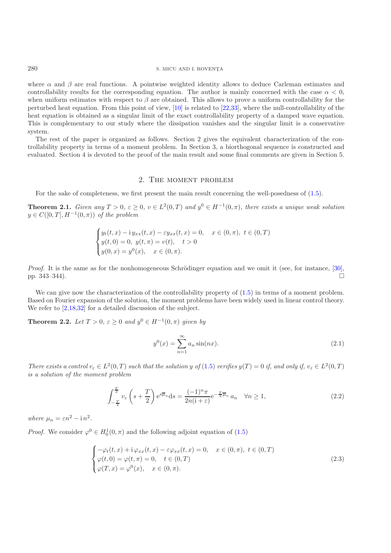### $280$  S. MICU AND I. ROVENȚA

where  $\alpha$  and  $\beta$  are real functions. A pointwise weighted identity allows to deduce Carleman estimates and controllability results for the corresponding equation. The author is mainly concerned with the case  $\alpha < 0$ . when uniform estimates with respect to  $\beta$  are obtained. This allows to prove a uniform controllability for the perturbed heat equation. From this point of view, [\[10](#page-15-4)] is related to [\[22](#page-16-11)[,33\]](#page-16-12), where the null-controllability of the heat equation is obtained as a singular limit of the exact controllability property of a damped wave equation. This is complementary to our study where the dissipation vanishes and the singular limit is a conservative system.

The rest of the paper is organized as follows. Section 2 gives the equivalent characterization of the controllability property in terms of a moment problem. In Section 3, a biorthogonal sequence is constructed and evaluated. Section 4 is devoted to the proof of the main result and some final comments are given in Section 5.

#### 2. The moment problem

For the sake of completeness, we first present the main result concerning the well-posedness of [\(1.5\)](#page-1-0).

**Theorem 2.1.** *Given any*  $T > 0$ ,  $\varepsilon \geq 0$ ,  $v \in L^2(0,T)$  *and*  $y^0 \in H^{-1}(0,\pi)$ *, there exists a unique weak solution*  $y \in C([0,T], H^{-1}(0,\pi))$  *of the problem* 

$$
\begin{cases}\ny_t(t,x) - i y_{xx}(t,x) - \varepsilon y_{xx}(t,x) = 0, & x \in (0, \pi), \ t \in (0, T) \\
y(t,0) = 0, \ y(t, \pi) = v(t), \ t > 0 \\
y(0,x) = y^0(x), \ x \in (0, \pi).\n\end{cases}
$$

*Proof.* It is the same as for the nonhomogeneous Schrödinger equation and we omit it (see, for instance, [\[30\]](#page-16-2), pp.  $343-344$ ).

We can give now the characterization of the controllability property of  $(1.5)$  in terms of a moment problem. Based on Fourier expansion of the solution, the moment problems have been widely used in linear control theory. We refer to  $[2,18,32]$  $[2,18,32]$  $[2,18,32]$  for a detailed discussion of the subject.

**Theorem 2.2.** *Let*  $T > 0$ ,  $\varepsilon \geq 0$  *and*  $y^0 \in H^{-1}(0, \pi)$  *given by* 

$$
y^{0}(x) = \sum_{n=1}^{\infty} a_n \sin(nx).
$$
 (2.1)

*There exists a control*  $v_{\varepsilon} \in L^2(0,T)$  *such that the solution* y *of* [\(1.5\)](#page-1-0) *verifies*  $y(T) = 0$  *if, and only if,*  $v_{\varepsilon} \in L^2(0,T)$ *is a solution of the moment problem*

$$
\int_{-\frac{T}{2}}^{\frac{T}{2}} v_{\varepsilon} \left( s + \frac{T}{2} \right) e^{s\overline{\mu}_n} ds = \frac{(-1)^n \pi}{2n(i+\varepsilon)} e^{-\frac{T}{2}\overline{\mu}_n} a_n \quad \forall n \ge 1,
$$
\n(2.2)

<span id="page-3-1"></span>*where*  $\mu_n = \varepsilon n^2 - i n^2$ .

<span id="page-3-0"></span>*Proof.* We consider  $\varphi^0 \in H_0^1(0, \pi)$  and the following adjoint equation of [\(1.5\)](#page-1-0)

$$
\begin{cases}\n-\varphi_t(t,x) + i\varphi_{xx}(t,x) - \varepsilon\varphi_{xx}(t,x) = 0, & x \in (0,\pi), \ t \in (0,T) \\
\varphi(t,0) = \varphi(t,\pi) = 0, & t \in (0,T) \\
\varphi(T,x) = \varphi^0(x), & x \in (0,\pi).\n\end{cases}
$$
\n(2.3)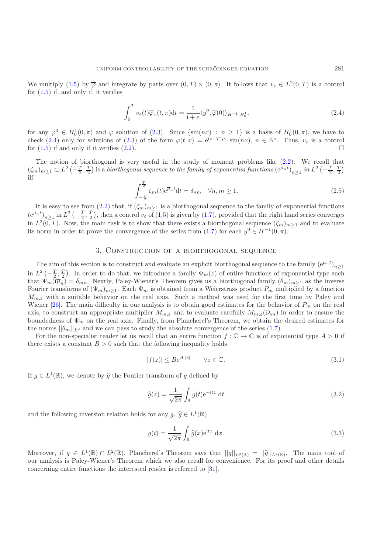We multiply [\(1.5\)](#page-1-0) by  $\overline{\varphi}$  and integrate by parts over  $(0,T) \times (0,\pi)$ . It follows that  $v_{\varepsilon} \in L^2(0,T)$  is a control for  $(1.5)$  if, and only if, it verifies

<span id="page-4-0"></span>
$$
\int_0^T v_\varepsilon(t)\overline{\varphi}_x(t,\pi)dt = \frac{1}{1+\varepsilon} \langle y^0, \overline{\varphi}(0) \rangle_{H^{-1},H_0^1},\tag{2.4}
$$

for any  $\varphi^0 \in H_0^1(0, \pi)$  and  $\varphi$  solution of [\(2.3\)](#page-3-0). Since  $\{\sin(nx) : n \ge 1\}$  is a basis of  $H_0^1(0, \pi)$ , we have to check (2.4) only for solutions of (2.3) of the form  $\varphi(x, x) = \varphi(x-T)\mu_n \sin(nx)$ ,  $x \in \mathbb{N}^*$ . Thus, it i check [\(2.4\)](#page-4-0) only for solutions of [\(2.3\)](#page-3-0) of the form  $\varphi(t,x)=e^{(t-T)\mu_n}\sin(nx), n \in \mathbb{N}^*$ . Thus,  $v_{\varepsilon}$  is a control for (1.5) if and only if it verifies (2.2) for  $(1.5)$  if and only if it verifies  $(2.2)$ .

The notion of biorthogonal is very useful in the study of moment problems like [\(2.2\)](#page-3-1). We recall that  $(\zeta_m)_{m\geq 1} \subset L^2\left(-\frac{T}{2},\frac{T}{2}\right)$  is a *biorthogonal sequence to the family of exponential functions*  $(e^{\mu_n t})_{n\geq 1}$  *in*  $L^2\left(-\frac{T}{2},\frac{T}{2}\right)$ <br>iff iff

$$
\int_{-\frac{T}{2}}^{\frac{T}{2}} \zeta_m(t) e^{\overline{\mu}_n t} dt = \delta_{nm} \quad \forall n, m \ge 1.
$$
 (2.5)

It is easy to see from  $(2.2)$  that, if  $(\zeta_m)_{m\geq 1}$  is a biorthogonal sequence to the family of exponential functions  $(e^{\mu_n t})_{n\geq 1}$  in  $L^2\left(-\frac{T}{2},\frac{T}{2}\right)$ , then a control  $v_{\varepsilon}$  of [\(1.5\)](#page-1-0) is given by [\(1.7\)](#page-2-1), provided that the right hand series converges in  $L^2(0,T)$ . Now, the main task is to show that there exists a biorthogonal sequence  $(\zeta_m)_{m\geq 1}$  and to evaluate its norm in order to prove the convergence of the series from [\(1.7\)](#page-2-1) for each  $y^0 \in H^{-1}(0, \pi)$ .

## 3. Construction of a biorthogonal sequence

The aim of this section is to construct and evaluate an explicit biorthogonal sequence to the family  $(e^{\mu_n t})_{n\geq 1}$ in  $L^2\left(-\frac{T}{2},\frac{T}{2}\right)$ . In order to do that, we introduce a family  $\Psi_m(z)$  of entire functions of exponential type such that  $\Psi(\vec{x}) = \delta$ . Northy Paley-Wiener's Theorem gives us a biorthogonal family  $(\theta)$ , as the inver that  $\Psi_m(\overline{\mathfrak{i}\mu}_n) = \delta_{mn}$ . Nextly, Paley-Wiener's Theorem gives us a biorthogonal family  $(\theta_m)_{m\geq 1}$  as the inverse Fourier transforms of  $(\Psi_m)_{m>1}$ . Each  $\Psi_m$  is obtained from a Weierstrass product  $P_m$  multiplied by a function  $M_{m,\varepsilon}$  with a suitable behavior on the real axis. Such a method was used for the first time by Paley and Wiener [\[26\]](#page-16-15). The main difficulty in our analysis is to obtain good estimates for the behavior of  $P_m$  on the real axis, to construct an appropriate multiplier  $M_{m,\varepsilon}$  and to evaluate carefully  $M_{m,\varepsilon}(\lambda_m)$  in order to ensure the boundedness of  $\Psi_m$  on the real axis. Finally, from Plancherel's Theorem, we obtain the desired estimates for the norms  $||\theta_m||_{L^2}$  and we can pass to study the absolute convergence of the series [\(1.7\)](#page-2-1).

For the non-specialist reader let us recall that an entire function  $f : \mathbb{C} \to \mathbb{C}$  is of exponential type  $A > 0$  if there exists a constant  $B > 0$  such that the following inequality holds

$$
|f(z)| \le Be^{A|z|} \qquad \forall z \in \mathbb{C}.\tag{3.1}
$$

If  $g \in L^1(\mathbb{R})$ , we denote by  $\hat{g}$  the Fourier transform of g defined by

$$
\widehat{g}(z) = \frac{1}{\sqrt{2\pi}} \int_{\mathbb{R}} g(t) e^{-itz} dt
$$
\n(3.2)

and the following inversion relation holds for any  $g, \hat{g} \in L^1(\mathbb{R})$ 

$$
g(t) = \frac{1}{\sqrt{2\pi}} \int_{\mathbb{R}} \hat{g}(x) e^{itx} dx.
$$
 (3.3)

Moreover, if  $g \in L^1(\mathbb{R}) \cap L^2(\mathbb{R})$ , Plancherel's Theorem says that  $||g||_{L^2(\mathbb{R})} = ||\hat{g}||_{L^2(\mathbb{R})}$ . The main tool of our analysis is Paley-Wiener's Theorem which we also recall for convenience. For its proof and other details concerning entire functions the interested reader is referred to [\[31](#page-16-16)].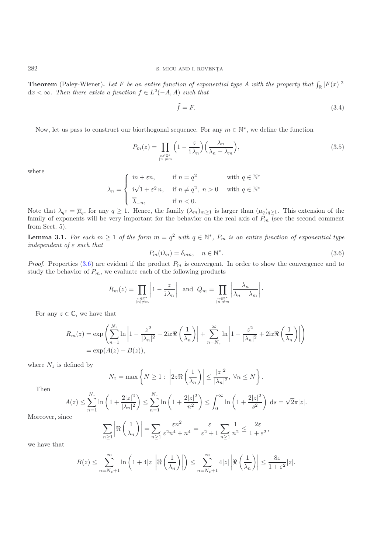**Theorem** (Paley-Wiener). Let F be an entire function of exponential type A with the property that  $\int_{\mathbb{R}} |F(x)|^2 dx \leq \infty$ . Then these exists a function  $f \in L^2(-A, A)$  except that  $dx < ∞$ *. Then there exists a function*  $f ∈ L<sup>2</sup>(−A, A)$  *such that* 

$$
\hat{f} = F. \tag{3.4}
$$

Now, let us pass to construct our biorthogonal sequence. For any  $m \in \mathbb{N}^*$ , we define the function

$$
P_m(z) = \prod_{\substack{n \in \mathbb{Z}^*\\|n|\neq m}} \left(1 - \frac{z}{i\lambda_n}\right) \left(\frac{\lambda_n}{\lambda_n - \lambda_m}\right),\tag{3.5}
$$

where

<span id="page-5-1"></span>
$$
\lambda_n = \begin{cases}\n\text{in} + \varepsilon n, & \text{if } n = q^2 \qquad \text{with } q \in \mathbb{N}^* \\
\text{i}\sqrt{1 + \varepsilon^2} n, & \text{if } n \neq q^2, n > 0 \qquad \text{with } q \in \mathbb{N}^* \\
\overline{\lambda}_{-n}, & \text{if } n < 0.\n\end{cases}
$$

Note that  $\lambda_{q^2} = \overline{\mu}_q$ , for any  $q \ge 1$ . Hence, the family  $(\lambda_m)_{m \ge 1}$  is larger than  $(\mu_q)_{q \ge 1}$ . This extension of the family of exponents will be very important for the behavior on the real axis of  $P$  (see th family of exponents will be very important for the behavior on the real axis of  $P_m$  (see the second comment from Sect. 5).

<span id="page-5-2"></span>**Lemma 3.1.** For each  $m \geq 1$  of the form  $m = q^2$  with  $q \in \mathbb{N}^*$ ,  $P_m$  is an entire function of exponential type *independent of* ε *such that*

$$
P_m(i\lambda_n) = \delta_{mn}, \quad n \in \mathbb{N}^*.
$$
\n(3.6)

*Proof.* Properties  $(3.6)$  are evident if the product  $P_m$  is convergent. In order to show the convergence and to study the behavior of  $P_m$  we evaluate each of the following products study the behavior of  $P_m$ , we evaluate each of the following products

<span id="page-5-0"></span>
$$
R_m(z) = \prod_{\substack{n \in \mathbb{Z}^*\\|n| \neq m}} \left| 1 - \frac{z}{i\lambda_n} \right| \text{ and } Q_m = \prod_{\substack{n \in \mathbb{Z}^*\\|n| \neq m}} \left| \frac{\lambda_n}{\lambda_n - \lambda_m} \right|.
$$

For any  $z \in \mathbb{C}$ , we have that

$$
R_m(z) = \exp\left(\sum_{n=1}^{N_z} \ln\left|1 - \frac{z^2}{|\lambda_n|^2} + 2iz\Re\left(\frac{1}{\lambda_n}\right)\right| + \sum_{n=N_z}^{\infty} \ln\left|1 - \frac{z^2}{|\lambda_n|^2} + 2iz\Re\left(\frac{1}{\lambda_n}\right)\right|\right)
$$
  
=  $\exp(A(z) + B(z)),$ 

where  $N_z$  is defined by

$$
N_z = \max\left\{N \ge 1 : \left|2z\Re\left(\frac{1}{\lambda_n}\right)\right| \le \frac{|z|^2}{|\lambda_n|^2}, \ \forall n \le N\right\}.
$$

Then

$$
A(z) \le \sum_{n=1}^{N_z} \ln\left(1 + \frac{2|z|^2}{|\lambda_n|^2}\right) \le \sum_{n=1}^{N_z} \ln\left(1 + \frac{2|z|^2}{n^2}\right) \le \int_0^\infty \ln\left(1 + \frac{2|z|^2}{s^2}\right) ds = \sqrt{2\pi}|z|.
$$

Moreover, since

$$
\sum_{n\geq 1} \left| \Re\left(\frac{1}{\lambda_n}\right) \right| = \sum_{n\geq 1} \frac{\varepsilon n^2}{\varepsilon^2 n^4 + n^4} = \frac{\varepsilon}{\varepsilon^2 + 1} \sum_{n\geq 1} \frac{1}{n^2} \leq \frac{2\varepsilon}{1 + \varepsilon^2},
$$

we have that

$$
B(z) \le \sum_{n=N_z+1}^{\infty} \ln\left(1+4|z|\left|\Re\left(\frac{1}{\lambda_n}\right)\right|\right) \le \sum_{n=N_z+1}^{\infty} 4|z|\left|\Re\left(\frac{1}{\lambda_n}\right)\right| \le \frac{8\varepsilon}{1+\varepsilon^2}|z|.
$$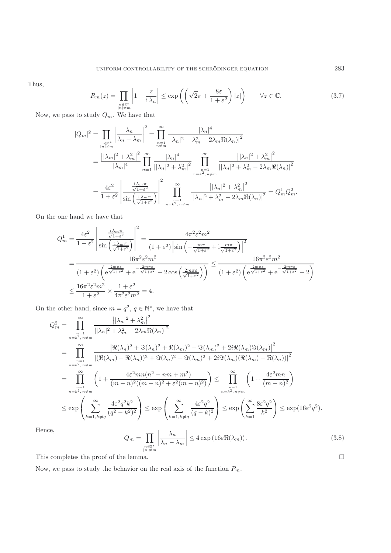Thus,

$$
R_m(z) = \prod_{\substack{n \in \mathbb{Z}^*\\|n| \neq m}} \left| 1 - \frac{z}{i\lambda_n} \right| \le \exp\left( \left( \sqrt{2}\pi + \frac{8\varepsilon}{1 + \varepsilon^2} \right) |z| \right) \qquad \forall z \in \mathbb{C}.\tag{3.7}
$$

Now, we pass to study  $Q_m$ . We have that

$$
|Q_m|^2 = \prod_{\substack{n \in \mathbb{Z}^* \\ |n| \neq m}} \left| \frac{\lambda_n}{\lambda_n - \lambda_m} \right|^2 = \prod_{\substack{n=1 \\ n \neq m}}^{\infty} \frac{|\lambda_n|^4}{||\lambda_n|^2 + \lambda_m^2 - 2\lambda_m \Re(\lambda_n)|^2}
$$
  
= 
$$
\frac{||\lambda_m|^2 + \lambda_m^2||^2}{|\lambda_m|^4} \prod_{n=1}^{\infty} \frac{|\lambda_n|^4}{||\lambda_n|^2 + \lambda_m^2|^2} \prod_{\substack{n=1 \\ n \neq k, n \neq m}}^{\infty} \frac{||\lambda_n|^2 + \lambda_m^2||^2}{||\lambda_n|^2 + \lambda_m^2 - 2\lambda_m \Re(\lambda_n)|^2}
$$
  
= 
$$
\frac{4\varepsilon^2}{1 + \varepsilon^2} \left| \frac{\frac{\lambda_m \pi}{\sqrt{1 + \varepsilon^2}}}{\sin\left(\frac{\lambda_m \pi}{\sqrt{1 + \varepsilon^2}}\right)} \right|^2 \prod_{\substack{n=1 \\ n \neq k, n \neq m}}^{\infty} \frac{||\lambda_n|^2 + \lambda_m^2||^2}{||\lambda_n|^2 + \lambda_m^2 - 2\lambda_m \Re(\lambda_n)|^2} = Q_m^1 Q_m^2.
$$

On the one hand we have that

$$
Q_m^1 = \frac{4\varepsilon^2}{1+\varepsilon^2} \left| \frac{\frac{\mathrm{i}\lambda_m \pi}{\sqrt{1+\varepsilon^2}}}{\sin\left(\frac{\mathrm{i}\lambda_m \pi}{\sqrt{1+\varepsilon^2}}\right)} \right|^2 = \frac{4\pi^2 \varepsilon^2 m^2}{(1+\varepsilon^2) \left|\sin\left(-\frac{m\pi}{\sqrt{1+\varepsilon^2}} + \mathrm{i}\frac{m\pi}{\sqrt{1+\varepsilon^2}}\right)\right|^2}
$$
  
= 
$$
\frac{16\pi^2 \varepsilon^2 m^2}{(1+\varepsilon^2) \left(e^{\frac{2m\pi\varepsilon}{\sqrt{1+\varepsilon^2}}} + e^{-\frac{2m\pi\varepsilon}{\sqrt{1+\varepsilon^2}}} - 2\cos\left(\frac{2m\pi\varepsilon}{\sqrt{1+\varepsilon^2}}\right)\right)} \le \frac{16\pi^2 \varepsilon^2 m^2}{(1+\varepsilon^2) \left(e^{\frac{2m\pi\varepsilon}{\sqrt{1+\varepsilon^2}}} + e^{-\frac{2m\pi\varepsilon}{\sqrt{1+\varepsilon^2}}} - 2\right)}
$$
  

$$
\le \frac{16\pi^2 \varepsilon^2 m^2}{1+\varepsilon^2} \times \frac{1+\varepsilon^2}{4\pi^2 \varepsilon^2 m^2} = 4.
$$

On the other hand, since  $m = q^2$ ,  $q \in \mathbb{N}^*$ , we have that

$$
Q_{m}^{2} = \prod_{\substack{n=1 \ n \neq i, n \neq m}}^{\infty} \frac{|\lambda_{n}|^{2} + \lambda_{m}^{2}|^{2}}{|\lambda_{n}|^{2} + \lambda_{m}^{2} - 2\lambda_{m}\Re(\lambda_{n})|^{2}}
$$
  
\n
$$
= \prod_{\substack{n=1 \ n \neq i, n \neq m}}^{\infty} \frac{|\Re(\lambda_{n})^{2} + \Im(\lambda_{n})^{2} + \Re(\lambda_{m})^{2} - \Im(\lambda_{m})^{2} + 2i\Re(\lambda_{m})\Im(\lambda_{m})|^{2}}{|\Re(\lambda_{m}) - \Re(\lambda_{n})|^{2} + \Im(\lambda_{n})^{2} - \Im(\lambda_{m})^{2} + 2i\Im(\lambda_{m})\Re(\lambda_{m}) - \Re(\lambda_{n})|^{2}}
$$
  
\n
$$
= \prod_{\substack{n=1 \ n \neq i, n \neq m}}^{\infty} \left(1 + \frac{4\varepsilon^{2}mn(n^{2} - nm + m^{2})}{(m - n)^{2}((m + n)^{2} + \varepsilon^{2}(m - n)^{2})}\right) \le \prod_{\substack{n=1 \ n \neq i, n \neq m}}^{\infty} \left(1 + \frac{4\varepsilon^{2}mn}{(m - n)^{2}}\right)
$$
  
\n
$$
\le \exp\left(\sum_{k=1, k \neq q}^{\infty} \frac{4\varepsilon^{2}q^{2}k^{2}}{(q^{2} - k^{2})^{2}}\right) \le \exp\left(\sum_{k=1, k \neq q}^{\infty} \frac{4\varepsilon^{2}q^{2}}{(q - k)^{2}}\right) \le \exp\left(\sum_{k=1}^{\infty} \frac{8\varepsilon^{2}q^{2}}{k^{2}}\right) \le \exp(16\varepsilon^{2}q^{2}).
$$
  
\nce,

<span id="page-6-0"></span>Hen

$$
Q_m = \prod_{\substack{n \in \mathbb{Z}^* \\ |n| \neq m}} \left| \frac{\lambda_n}{\lambda_n - \lambda_m} \right| \leq 4 \exp\left(16\varepsilon \Re(\lambda_m)\right). \tag{3.8}
$$
  
lemma.

This completes the proof of the lemma.

Now, we pass to study the behavior on the real axis of the function  ${\cal P}_m.$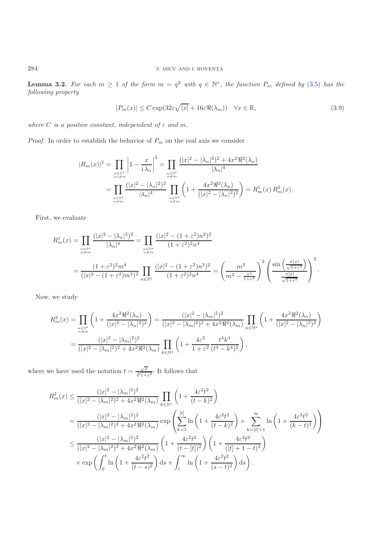**Lemma 3.2.** For each  $m \geq 1$  of the form  $m = q^2$  with  $q \in \mathbb{N}^*$ , the function  $P_m$  defined by [\(3.5\)](#page-5-1) has the *following property*

$$
|P_m(x)| \le C \exp(32\varepsilon \sqrt{|x|} + 16\varepsilon \Re(\lambda_m)) \quad \forall x \in \mathbb{R},\tag{3.9}
$$

<span id="page-7-0"></span>*where*  $C$  *is a positive constant, independent of*  $\varepsilon$  *and*  $m$ .

*Proof.* In order to establish the behavior of  $P_m$  on the real axis we consider

$$
|R_m(x)|^2 = \prod_{\substack{n \in \mathbb{Z}^* \\ |n| \neq m}} \left| 1 - \frac{x}{i\lambda_n} \right|^2 = \prod_{\substack{n \in \mathbb{N}^* \\ n \neq m}} \frac{(|x|^2 - |\lambda_n|^2)^2 + 4x^2 \Re^2(\lambda_n)}{|\lambda_n|^4}
$$
  
= 
$$
\prod_{\substack{n \in \mathbb{N}^* \\ n \neq m}} \frac{(|x|^2 - |\lambda_n|^2)^2}{|\lambda_n|^4} \prod_{\substack{n \in \mathbb{N}^* \\ n \neq m}} \left( 1 + \frac{4x^2 \Re^2(\lambda_n)}{(|x|^2 - |\lambda_n|^2)^2} \right) = R_m^1(x) R_m^2(x).
$$

First, we evaluate

$$
R_m^1(x) = \prod_{\substack{n \in \mathbb{N}^* \\ n \neq m}} \frac{(|x|^2 - |\lambda_n|^2)^2}{|\lambda_n|^4} = \prod_{\substack{n \in \mathbb{N}^* \\ n \neq m}} \frac{(|x|^2 - (1 + \varepsilon^2)n^2)^2}{(1 + \varepsilon^2)^2 n^4}
$$
  
= 
$$
\frac{(1 + \varepsilon^2)^2 m^4}{(|x|^2 - (1 + \varepsilon^2)m^2)^2} \prod_{n \in \mathbb{N}^*} \frac{(|x|^2 - (1 + \varepsilon^2)n^2)^2}{(1 + \varepsilon^2)^2 n^4} = \left(\frac{m^2}{m^2 - \frac{x^2}{1 + \varepsilon^2}}\right)^2 \left(\frac{\sin\left(\frac{\pi |x|}{\sqrt{1 + \varepsilon^2}}\right)}{\frac{\pi |x|}{\sqrt{1 + \varepsilon^2}}}\right)^2.
$$

Now, we study

$$
R_m^2(x) = \prod_{\substack{n \in \mathbb{N}^* \\ n \neq m}} \left( 1 + \frac{4x^2 \Re^2(\lambda_n)}{(|x|^2 - |\lambda_n|^2)^2} \right) = \frac{(|x|^2 - |\lambda_m|^2)^2}{(|x|^2 - |\lambda_m|^2)^2 + 4x^2 \Re^2(\lambda_m)} \prod_{n \in \mathbb{N}^*} \left( 1 + \frac{4x^2 \Re^2(\lambda_n)}{(|x|^2 - |\lambda_n|^2)^2} \right)
$$
  
= 
$$
\frac{(|x|^2 - |\lambda_m|^2)^2}{(|x|^2 - |\lambda_m|^2)^2 + 4x^2 \Re^2(\lambda_m)} \prod_{k \in \mathbb{N}^*} \left( 1 + \frac{4\varepsilon^2}{1 + \varepsilon^2} \frac{t^4 k^4}{(t^4 - k^4)^2} \right),
$$

where we have used the notation  $t = \frac{\sqrt{x}}{\sqrt[4]{1+\varepsilon^2}} \cdot$  It follows that

$$
R_{m}^{2}(x) \leq \frac{(|x|^{2} - |\lambda_{m}|^{2})^{2}}{(|x|^{2} - |\lambda_{m}|^{2})^{2} + 4x^{2}\Re^{2}(\lambda_{m})} \prod_{k \in \mathbb{N}^{*}} \left(1 + \frac{4\varepsilon^{2}t^{2}}{(t - k)^{2}}\right)
$$
  
\n
$$
= \frac{(|x|^{2} - |\lambda_{m}|^{2})^{2}}{(|x|^{2} - |\lambda_{m}|^{2})^{2} + 4x^{2}\Re^{2}(\lambda_{m})} \exp\left(\sum_{k=1}^{[t]} \ln\left(1 + \frac{4\varepsilon^{2}t^{2}}{(t - k)^{2}}\right) + \sum_{k= [t]+1}^{\infty} \ln\left(1 + \frac{4\varepsilon^{2}t^{2}}{(k - t)^{2}}\right)\right)
$$
  
\n
$$
\leq \frac{(|x|^{2} - |\lambda_{m}|^{2})^{2}}{(|x|^{2} - |\lambda_{m}|^{2})^{2} + 4x^{2}\Re^{2}(\lambda_{m})} \left(1 + \frac{4\varepsilon^{2}t^{2}}{(t - [t])^{2}}\right) \left(1 + \frac{4\varepsilon^{2}t^{2}}{([t] + 1 - t)^{2}}\right)
$$
  
\n
$$
\times \exp\left(\int_{0}^{t} \ln\left(1 + \frac{4\varepsilon^{2}t^{2}}{(t - s)^{2}}\right) ds + \int_{t}^{\infty} \ln\left(1 + \frac{4\varepsilon^{2}t^{2}}{(s - t)^{2}}\right) ds\right).
$$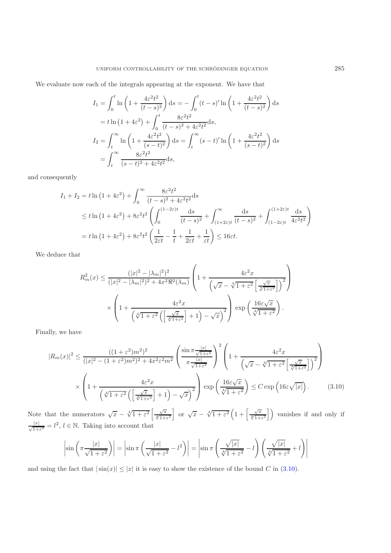We evaluate now each of the integrals appearing at the exponent. We have that

$$
I_1 = \int_0^t \ln\left(1 + \frac{4\varepsilon^2 t^2}{(t-s)^2}\right) ds = -\int_0^t (t-s)' \ln\left(1 + \frac{4\varepsilon^2 t^2}{(t-s)^2}\right) ds
$$
  
=  $t \ln\left(1 + 4\varepsilon^2\right) + \int_0^t \frac{8\varepsilon^2 t^2}{(t-s)^2 + 4\varepsilon^2 t^2} ds$ ,  

$$
I_2 = \int_t^\infty \ln\left(1 + \frac{4\varepsilon^2 t^2}{(s-t)^2}\right) ds = \int_t^\infty (s-t)' \ln\left(1 + \frac{4\varepsilon^2 t^2}{(s-t)^2}\right) ds
$$
  
=  $\int_t^\infty \frac{8\varepsilon^2 t^2}{(s-t)^2 + 4\varepsilon^2 t^2} ds$ ,

and consequently

$$
I_1 + I_2 = t \ln \left( 1 + 4\varepsilon^2 \right) + \int_0^\infty \frac{8\varepsilon^2 t^2}{(t - s)^2 + 4\varepsilon^2 t^2} ds
$$
  
\n
$$
\leq t \ln \left( 1 + 4\varepsilon^2 \right) + 8\varepsilon^2 t^2 \left( \int_0^{(1 - 2\varepsilon)t} \frac{ds}{(t - s)^2} + \int_{(1 + 2\varepsilon)t}^\infty \frac{ds}{(t - s)^2} + \int_{(1 - 2\varepsilon)t}^{(1 + 2\varepsilon)t} \frac{ds}{4\varepsilon^2 t^2} \right)
$$
  
\n
$$
= t \ln \left( 1 + 4\varepsilon^2 \right) + 8\varepsilon^2 t^2 \left( \frac{1}{2\varepsilon t} - \frac{1}{t} + \frac{1}{2\varepsilon t} + \frac{1}{\varepsilon t} \right) \leq 16\varepsilon t.
$$

We deduce that

$$
R_m^2(x) \le \frac{(|x|^2 - |\lambda_m|^2)^2}{(|x|^2 - |\lambda_m|^2)^2 + 4x^2 \Re^2(\lambda_m)} \left( 1 + \frac{4\varepsilon^2 x}{\left(\sqrt{x} - \sqrt[4]{1 + \varepsilon^2} \left[\frac{\sqrt{x}}{\sqrt[4]{1 + \varepsilon^2}}\right]\right)^2} \right)
$$

$$
\times \left( 1 + \frac{4\varepsilon^2 x}{\left(\sqrt[4]{1 + \varepsilon^2} \left(\frac{\sqrt{x}}{\sqrt[4]{1 + \varepsilon^2}}\right) + 1\right) - \sqrt{x}\right)^2} \right) \exp\left(\frac{16\varepsilon\sqrt{x}}{\sqrt[4]{1 + \varepsilon^2}}\right).
$$

Finally, we have

$$
|R_m(x)|^2 \le \frac{((1+\varepsilon^2)m^2)^2}{(|x|^2 - (1+\varepsilon^2)m^2)^2 + 4x^2\varepsilon^2m^2} \left(\frac{\sin \pi \frac{|x|}{\sqrt{1+\varepsilon^2}}}{\pi \frac{|x|}{\sqrt{1+\varepsilon^2}}} \right)^2 \left(1 + \frac{4\varepsilon^2 x}{\left(\sqrt{x} - \sqrt[4]{1+\varepsilon^2} \left[\frac{\sqrt{x}}{\sqrt[4]{1+\varepsilon^2}}\right]\right)^2}\right)
$$

$$
\times \left(1 + \frac{4\varepsilon^2 x}{\left(\sqrt[4]{1+\varepsilon^2} \left(\frac{\sqrt{x}}{\sqrt[4]{1+\varepsilon^2}}\right)+1\right)-\sqrt{x}\right)^2}\right) \exp\left(\frac{16\varepsilon\sqrt{x}}{\sqrt[4]{1+\varepsilon^2}}\right) \le C \exp\left(16\varepsilon\sqrt{|x|}\right). \tag{3.10}
$$

Note that the numerators  $\sqrt{x} - \sqrt[4]{1+\varepsilon^2} \left[ \frac{\sqrt{x}}{\sqrt[4]{1+\varepsilon^2}} \right]$  or  $\sqrt{x} - \sqrt[4]{1+\varepsilon^2} \left( 1 + \left[ \frac{\sqrt{x}}{\sqrt[4]{1+\varepsilon^2}} \right] \right)$  vanishes if and only if  $\frac{|x|}{\sqrt{1+\epsilon^2}} = l^2$ ,  $l \in \mathbb{N}$ . Taking into account that

<span id="page-8-0"></span>
$$
\left|\sin\left(\pi\frac{|x|}{\sqrt{1+\varepsilon^2}}\right)\right| = \left|\sin\pi\left(\frac{|x|}{\sqrt{1+\varepsilon^2}}-l^2\right)\right| = \left|\sin\pi\left(\frac{\sqrt{|x|}}{\sqrt[4]{1+\varepsilon^2}}-l\right)\left(\frac{\sqrt{|x|}}{\sqrt[4]{1+\varepsilon^2}}+l\right)\right|
$$

and using the fact that  $|\sin(x)| \le |x|$  it is easy to show the existence of the bound C in [\(3.10\)](#page-8-0).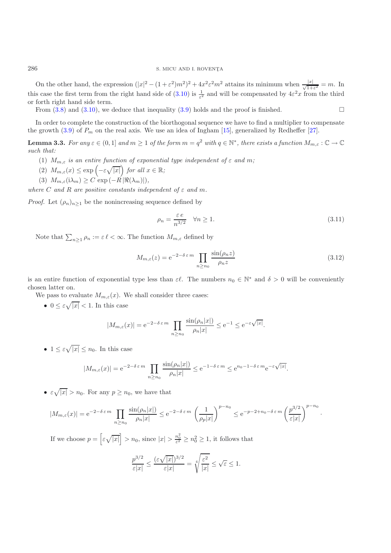On the other hand, the expression  $(|x|^2 - (1 + \varepsilon^2)m^2)^2 + 4x^2\varepsilon^2m^2$  attains its minimum when  $\frac{|x|}{\sqrt{1+\varepsilon^2}} = m$ . In this case the first term from the right hand side of  $(3.10)$  is  $\frac{1}{\varepsilon^2}$  and will be compensa or forth right hand side term.

From  $(3.8)$  and  $(3.10)$ , we deduce that inequality  $(3.9)$  holds and the proof is finished.

<span id="page-9-0"></span>In order to complete the construction of the biorthogonal sequence we have to find a multiplier to compensate the growth [\(3.9\)](#page-7-0) of  $P_m$  on the real axis. We use an idea of Ingham [\[15](#page-16-17)], generalized by Redheffer [\[27\]](#page-16-18).

**Lemma 3.3.** *For any*  $\varepsilon \in (0,1]$  *and*  $m \geq 1$  *of the form*  $m = q^2$  *with*  $q \in \mathbb{N}^*$ *, there exists a function*  $M_{m,\varepsilon} : \mathbb{C} \to \mathbb{C}$ *such that:*

- (1)  $M_{m,\varepsilon}$  *is an entire function of exponential type independent of*  $\varepsilon$  *and*  $m$ ;
- (2)  $M_{m,\varepsilon}(x) \leq \exp\left(-\varepsilon\sqrt{|x|}\right)$  for all  $x \in \mathbb{R}$ ;
- (3)  $M_{m,\varepsilon}(\mathrm{i}\lambda_m) \geq C \exp(-R |\Re(\lambda_m)|),$

*where* C and R are positive constants independent of  $\varepsilon$  and m.

*Proof.* Let  $(\rho_n)_{n>1}$  be the nonincreasing sequence defined by

$$
\rho_n = \frac{\varepsilon e}{n^{3/2}} \quad \forall n \ge 1. \tag{3.11}
$$

 $\Box$ 

Note that  $\sum_{n\geq 1} \rho_n := \varepsilon \ell < \infty$ . The function  $M_{m,\varepsilon}$  defined by

$$
M_{m,\varepsilon}(z) = e^{-2-\delta \varepsilon m} \prod_{n \ge n_0} \frac{\sin(\rho_n z)}{\rho_n z}
$$
\n(3.12)

is an entire function of exponential type less than  $\varepsilon \ell$ . The numbers  $n_0 \in \mathbb{N}^*$  and  $\delta > 0$  will be conveniently chosen latter on.

We pass to evaluate  $M_{m,\varepsilon}(x)$ . We shall consider three cases:

•  $0 \leq \varepsilon \sqrt{|x|} < 1$ . In this case

$$
|M_{m,\varepsilon}(x)| = e^{-2-\delta \varepsilon m} \prod_{n \ge n_0} \frac{\sin(\rho_n|x|)}{\rho_n|x|} \le e^{-1} \le e^{-\varepsilon \sqrt{|x|}}.
$$

•  $1 \leq \varepsilon \sqrt{|x|} \leq n_0$ . In this case

$$
|M_{m,\varepsilon}(x)| = e^{-2-\delta \varepsilon m} \prod_{n \ge n_0} \frac{\sin(\rho_n |x|)}{\rho_n |x|} \le e^{-1-\delta \varepsilon m} \le e^{n_0 - 1 - \delta \varepsilon m} e^{-\varepsilon \sqrt{|x|}}
$$

•  $\varepsilon \sqrt{|x|} > n_0$ . For any  $p \ge n_0$ , we have that

$$
|M_{m,\varepsilon}(x)| = e^{-2-\delta \varepsilon m} \prod_{n \ge n_0} \frac{\sin(\rho_n |x|)}{\rho_n |x|} \le e^{-2-\delta \varepsilon m} \left(\frac{1}{\rho_p |x|}\right)^{p-n_0} \le e^{-p-2+n_0-\delta \varepsilon m} \left(\frac{p^{3/2}}{\varepsilon |x|}\right)^{p-n_0}.
$$

If we choose  $p = \left[ \right]$  $\epsilon \sqrt{|x|} > n_0$ , since  $|x| > \frac{n_0^2}{\epsilon^2} \ge n_0^2 \ge 1$ , it follows that

$$
\frac{p^{3/2}}{\varepsilon|x|} \le \frac{(\varepsilon\sqrt{|x|})^{3/2}}{\varepsilon|x|} = \sqrt[4]{\frac{\varepsilon^2}{|x|}} \le \sqrt{\varepsilon} \le 1.
$$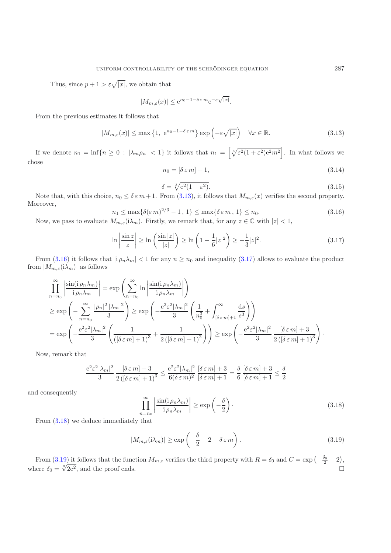Thus, since  $p + 1 > \varepsilon \sqrt{|x|}$ , we obtain that

$$
|M_{m,\varepsilon}(x)| \le e^{n_0 - 1 - \delta \varepsilon m} e^{-\varepsilon \sqrt{|x|}}.
$$

<span id="page-10-0"></span>From the previous estimates it follows that

$$
|M_{m,\varepsilon}(x)| \le \max\left\{1, e^{n_0 - 1 - \delta \varepsilon m}\right\} \exp\left(-\varepsilon \sqrt{|x|}\right) \quad \forall x \in \mathbb{R}.\tag{3.13}
$$

If we denote  $n_1 = \inf\{n \geq 0 : |\lambda_m \rho_n| < 1\}$  it follows that  $n_1 = \left[\sqrt[3]{\varepsilon^2 (1 + \varepsilon^2) e^2 m^2}\right]$ . In what follows we chose

$$
n_0 = [\delta \varepsilon m] + 1,\tag{3.14}
$$

$$
\delta = \sqrt[3]{e^2(1+\varepsilon^2)}.
$$
\nFrom (2.12) it follows that M. (a) surifies the second answer, the

Note that, with this choice,  $n_0 \le \delta \varepsilon m + 1$ . From [\(3.13\)](#page-10-0), it follows that  $M_{m,\varepsilon}(x)$  verifies the second property. Moreover,

$$
n_1 \le \max\{\delta(\varepsilon m)^{2/3} - 1, 1\} \le \max\{\delta \varepsilon m, 1\} \le n_0.
$$
\n(3.16)

<span id="page-10-2"></span><span id="page-10-1"></span>Now, we pass to evaluate  $M_{m,\varepsilon}(\lambda_m)$ . Firstly, we remark that, for any  $z \in \mathbb{C}$  with  $|z| < 1$ ,

$$
\ln\left|\frac{\sin z}{z}\right| \ge \ln\left(\frac{\sin|z|}{|z|}\right) \ge \ln\left(1 - \frac{1}{6}|z|^2\right) \ge -\frac{1}{3}|z|^2. \tag{3.17}
$$

From [\(3.16\)](#page-10-1) it follows that  $|i \rho_n \lambda_m| < 1$  for any  $n \geq n_0$  and inequality [\(3.17\)](#page-10-2) allows to evaluate the product from  $|M_{m,\varepsilon}(i\lambda_m)|$  as follows

$$
\prod_{n=n_0}^{\infty} \left| \frac{\sin(i \rho_n \lambda_m)}{i \rho_n \lambda_m} \right| = \exp\left(\sum_{n=n_0}^{\infty} \ln \left| \frac{\sin(i \rho_n \lambda_m)}{i \rho_n \lambda_m} \right| \right)
$$
\n
$$
\ge \exp\left(-\sum_{n=n_0}^{\infty} \frac{|\rho_n|^2 |\lambda_m|^2}{3} \right) \ge \exp\left(-\frac{e^2 \varepsilon^2 |\lambda_m|^2}{3} \left(\frac{1}{n_0^3} + \int_{[\delta \varepsilon m]+1}^{\infty} \frac{ds}{s^3} \right) \right)
$$
\n
$$
= \exp\left(-\frac{e^2 \varepsilon^2 |\lambda_m|^2}{3} \left(\frac{1}{(\delta \varepsilon m]+1)^3} + \frac{1}{2(\delta \varepsilon m]+1)^2} \right) \right) \ge \exp\left(-\frac{e^2 \varepsilon^2 |\lambda_m|^2}{3} - \frac{[\delta \varepsilon m]+3}{2(\delta \varepsilon m]+1)^3} \right).
$$

Now, remark that

<span id="page-10-3"></span>
$$
\frac{e^2 \varepsilon^2 |\lambda_m|^2}{3} \frac{[\delta \varepsilon m] + 3}{2 \left( [\delta \varepsilon m] + 1 \right)^3} \le \frac{e^2 \varepsilon^2 |\lambda_m|^2}{6 (\delta \varepsilon m)^2} \frac{[\delta \varepsilon m] + 3}{[\delta \varepsilon m] + 1} = \frac{\delta}{6} \frac{[\delta \varepsilon m] + 3}{[\delta \varepsilon m] + 1} \le \frac{\delta}{2}
$$

and consequently

$$
\prod_{n=n_0}^{\infty} \left| \frac{\sin(i \rho_n \lambda_m)}{i \rho_n \lambda_m} \right| \ge \exp\left(-\frac{\delta}{2}\right). \tag{3.18}
$$

From [\(3.18\)](#page-10-3) we deduce immediately that

<span id="page-10-4"></span>
$$
|M_{m,\varepsilon}(\mathrm{i}\lambda_m)| \geq \exp\left(-\frac{\delta}{2} - 2 - \delta\,\varepsilon\,m\right). \tag{3.19}
$$

From [\(3.19\)](#page-10-4) it follows that the function  $M_{m,\varepsilon}$  verifies the third property with  $R = \delta_0$  and  $C = \exp\left(-\frac{\delta_0}{2} - 2\right)$ , where  $\delta_0 = \sqrt[3]{2e^2}$ , and the proof ends.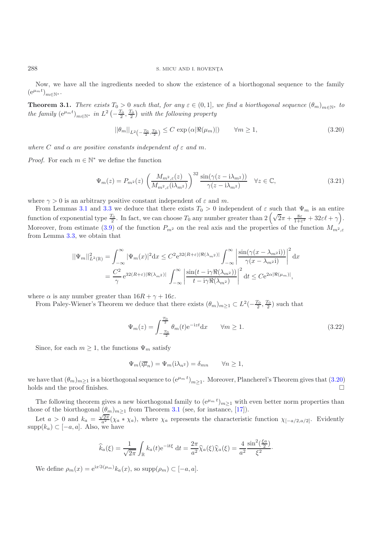Now, we have all the ingredients needed to show the existence of a biorthogonal sequence to the family  $(e^{\mu_m t})_{m \in \mathbb{N}^*}$ .

<span id="page-11-1"></span>**Theorem 3.1.** *There exists*  $T_0 > 0$  *such that, for any*  $\varepsilon \in (0,1]$ *, we find a biorthogonal sequence*  $(\theta_m)_{m \in \mathbb{N}^*}$  *to the family*  $(e^{\mu_m t})_{m \in \mathbb{N}^*}$  *in*  $L^2\left(-\frac{T_0}{2}, \frac{T_0}{2}\right)$  *with the following property* 

$$
||\theta_m||_{L^2\left(-\frac{T_0}{2},\frac{T_0}{2}\right)} \le C \exp\left(\alpha |\Re(\mu_m)|\right) \qquad \forall m \ge 1,
$$
\n(3.20)

<span id="page-11-0"></span>*where* C and  $\alpha$  are positive constants independent of  $\varepsilon$  and  $m$ .

<span id="page-11-3"></span>*Proof.* For each  $m \in \mathbb{N}^*$  we define the function

$$
\Psi_m(z) = P_{m^2}(z) \left( \frac{M_{m^2,\varepsilon}(z)}{M_{m^2,\varepsilon}(i\lambda_{m^2})} \right)^{32} \frac{\sin(\gamma(z - i\lambda_{m^2}))}{\gamma(z - i\lambda_{m^2})} \quad \forall z \in \mathbb{C},
$$
\n(3.21)

where  $\gamma > 0$  is an arbitrary positive constant independent of  $\varepsilon$  and m.

From Lemmas [3.1](#page-5-2) and [3.3](#page-9-0) we deduce that there exists  $T_0 > 0$  independent of  $\varepsilon$  such that  $\Psi_m$  is an entire function of exponential type  $\frac{T_0}{2}$ . In fact, we can choose  $T_0$  any number greater than  $2(\sqrt{2}\pi + \frac{8\varepsilon}{1+\varepsilon^2} + 32\varepsilon\ell + \gamma)$ . Moreover, from estimate [\(3.9\)](#page-7-0) of the function  $P_{m^2}$  on the real axis and the properties of the function  $M_{m^2,\varepsilon}$ from Lemma [3.3,](#page-9-0) we obtain that

$$
\|\Psi_m\|_{L^2(\mathbb{R})}^2 = \int_{-\infty}^{\infty} |\Psi_m(x)|^2 dx \le C^2 e^{32(R+\varepsilon)|\Re(\lambda_{m^2})|} \int_{-\infty}^{\infty} \left| \frac{\sin(\gamma(x-\lambda_{m^2}i))}{\gamma(x-\lambda_{m^2}i)} \right|^2 dx
$$
  
= 
$$
\frac{C^2}{\gamma} e^{32(R+\varepsilon)|\Re(\lambda_{m^2})|} \int_{-\infty}^{\infty} \left| \frac{\sin(t-i\gamma \Re(\lambda_{m^2}))}{t-i\gamma \Re(\lambda_{m^2})} \right|^2 dt \le C e^{2\alpha |\Re(\mu_m)|},
$$

where  $\alpha$  is any number greater than  $16R + \gamma + 16\varepsilon$ .

From Paley-Wiener's Theorem we deduce that there exists  $(\theta_m)_{m\geq 1} \subset L^2(-\frac{T_0}{2}, \frac{T_0}{2})$  such that

$$
\Psi_m(z) = \int_{-\frac{T_0}{2}}^{\frac{T_0}{2}} \theta_m(t) e^{-izt} dx \qquad \forall m \ge 1.
$$
\n(3.22)

Since, for each  $m \geq 1$ , the functions  $\Psi_m$  satisfy

$$
\Psi_m(i\overline{\mu}_n) = \Psi_m(i\lambda_{n^2}) = \delta_{mn} \qquad \forall n \ge 1,
$$

we have that  $(\theta_m)_{m\geq 1}$  is a biorthogonal sequence to  $(e^{\mu_m t})_{m\geq 1}$ . Moreover, Plancherel's Theorem gives that [\(3.20\)](#page-11-0) holds and the proof finishes.  $\Box$ 

The following theorem gives a new biorthogonal family to  $(e^{\mu_m t})_{m\geq 1}$  with even better norm properties than those of the biorthogonal  $(\theta_m)_{m\geq 1}$  from Theorem [3.1](#page-11-1) (see, for instance, [\[17\]](#page-16-19)).

Let  $a > 0$  and  $k_a = \frac{\sqrt{2\pi}}{a^2} (\chi_a * \chi_a)$ , where  $\chi_a$  represents the characteristic function  $\chi_{[-a/2, a/2]}$ . Evidently  $supp(k_a) \subset [-a, a]$ . Also, we have

$$
\widehat{k}_a(\xi) = \frac{1}{\sqrt{2\pi}} \int_{\mathbb{R}} k_a(t) e^{-it\xi} dt = \frac{2\pi}{a^2} \widehat{\chi}_a(\xi) \widehat{\chi}_a(\xi) = \frac{4}{a^2} \frac{\sin^2(\frac{\xi a}{2})}{\xi^2}.
$$

<span id="page-11-2"></span>We define  $\rho_m(x)=e^{ix\Im(\mu_m)}k_a(x)$ , so  $\text{supp}(\rho_m) \subset [-a, a]$ .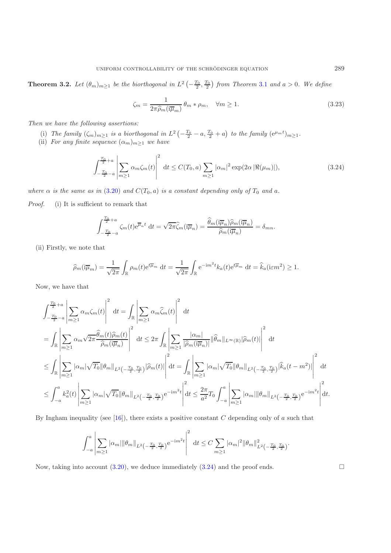**Theorem 3.2.** Let  $(\theta_m)_{m\geq 1}$  be the biorthogonal in  $L^2(-\frac{T_0}{2}, \frac{T_0}{2})$  from Theorem [3.1](#page-11-1) and  $a > 0$ . We define

$$
\zeta_m = \frac{1}{2\pi \hat{\rho}_m(\mathrm{i}\overline{\mu}_m)} \theta_m * \rho_m, \quad \forall m \ge 1.
$$
\n(3.23)

*Then we have the following assertions:*

- (i) The family  $(\zeta_m)_{m \geq 1}$  is a biorthogonal in  $L^2\left(-\frac{T_0}{2} a, \frac{T_0}{2} + a\right)$  to the family  $(e^{\mu_m t})_{m \geq 1}$ .<br>ii) For any finite sequence  $(\alpha_n)_{n \geq 1}$ , we have
- <span id="page-12-0"></span>(ii) *For any finite sequence*  $(\alpha_m)_{m\geq 1}$  *we have*

$$
\int_{-\frac{T_0}{2}-a}^{\frac{T_0}{2}+a} \left| \sum_{m\geq 1} \alpha_m \zeta_m(t) \right|^2 dt \leq C(T_0, a) \sum_{m\geq 1} |\alpha_m|^2 \exp(2\alpha |\Re(\mu_m)|), \tag{3.24}
$$

*where*  $\alpha$  *is the same as in* [\(3.20\)](#page-11-0) *and*  $C(T_0, a)$  *is a constant depending only of*  $T_0$  *and*  $a$ *.* 

*Proof.* (i) It is sufficient to remark that

$$
\int_{-\frac{T_0}{2}-a}^{\frac{T_0}{2}+a} \zeta_m(t) e^{\overline{\mu}_n t} dt = \sqrt{2\pi} \widehat{\zeta}_m(i\overline{\mu}_n) = \frac{\widehat{\theta}_m(i\overline{\mu}_n)\widehat{\rho}_m(i\overline{\mu}_n)}{\widehat{\rho}_m(i\overline{\mu}_n)} = \delta_{mn}.
$$

(ii) Firstly, we note that

$$
\widehat{\rho}_m(i\overline{\mu}_m) = \frac{1}{\sqrt{2\pi}} \int_{\mathbb{R}} \rho_m(t) e^{t\overline{\mu}_m} dt = \frac{1}{\sqrt{2\pi}} \int_{\mathbb{R}} e^{-im^2t} k_a(t) e^{t\overline{\mu}_m} dt = \widehat{k}_a(i\epsilon m^2) \ge 1.
$$

Now, we have that

$$
\int_{-\frac{T_0}{2}-a}^{\frac{T_0}{2}+a} \left| \sum_{m\geq 1} \alpha_m \zeta_m(t) \right|^2 dt = \int_{\mathbb{R}} \left| \sum_{m\geq 1} \alpha_m \widehat{\zeta}_m(t) \right|^2 dt
$$
  
\n
$$
= \int_{\mathbb{R}} \left| \sum_{m\geq 1} \alpha_m \sqrt{2\pi} \frac{\widehat{\theta}_m(t) \widehat{\rho}_m(t)}{\widehat{\rho}_m(i\overline{\mu}_n)} \right|^2 dt \leq 2\pi \int_{\mathbb{R}} \left| \sum_{m\geq 1} \frac{|\alpha_m|}{|\widehat{\rho}_m(i\overline{\mu}_n)|} ||\widehat{\theta}_m||_{L^{\infty}(\mathbb{R})} |\widehat{\rho}_m(t)| \right|^2 dt
$$
  
\n
$$
\leq \int_{\mathbb{R}} \left| \sum_{m\geq 1} |\alpha_m| \sqrt{T_0} ||\theta_m||_{L^2(-\frac{T_0}{2},\frac{T_0}{2})} |\widehat{\rho}_m(t)| \right|^2 dt = \int_{\mathbb{R}} \left| \sum_{m\geq 1} |\alpha_m| \sqrt{T_0} ||\theta_m||_{L^2(-\frac{T_0}{2},\frac{T_0}{2})} |\widehat{k}_a(t-m^2)| \right|^2 dt
$$
  
\n
$$
\leq \int_{-a}^{a} k_a^2(t) \left| \sum_{m\geq 1} |\alpha_m| \sqrt{T_0} ||\theta_m||_{L^2(-\frac{T_0}{2},\frac{T_0}{2})} e^{-im^2t} \right|^2 dt \leq \frac{2\pi}{a^2} T_0 \int_{-a}^{a} \left| \sum_{m\geq 1} |\alpha_m| ||\theta_m||_{L^2(-\frac{T_0}{2},\frac{T_0}{2})} e^{-im^2t} \right|^2 dt.
$$

By Ingham inequality (see  $[16]$ ), there exists a positive constant C depending only of a such that

$$
\int_{-a}^{a} \left| \sum_{m\geq 1} |\alpha_m| \|\theta_m\|_{L^2\left(-\frac{T_0}{2},\frac{T_0}{2}\right)} e^{-im^2t} \right|^2 dt \leq C \sum_{m\geq 1} |\alpha_m|^2 \|\theta_m\|_{L^2\left(-\frac{T_0}{2},\frac{T_0}{2}\right)}^2
$$

Now, taking into account  $(3.20)$ , we deduce immediately  $(3.24)$  and the proof ends.  $\Box$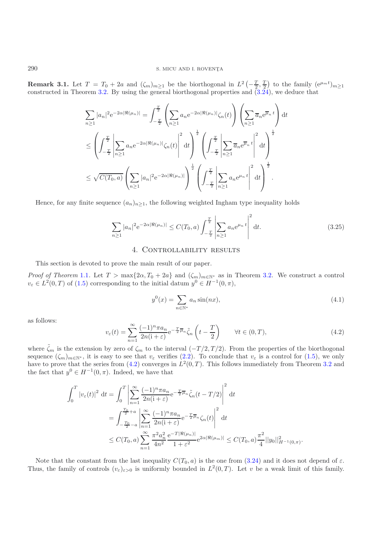**Remark 3.1.** Let  $T = T_0 + 2a$  and  $(\zeta_m)_{m \geq 1}$  be the biorthogonal in  $L^2(-\frac{T}{2}, \frac{T}{2})$  to the family  $(e^{\mu_m t})_{m \geq 1}$  constructed in Theorem 3.2. By using the general biorthogonal properties and  $(3.24)$  we deduce t constructed in Theorem [3.2.](#page-11-2) By using the general biorthogonal properties and [\(3.24\)](#page-12-0), we deduce that

$$
\sum_{n\geq 1} |a_n|^2 e^{-2\alpha |\Re(\mu_n)|} = \int_{-\frac{T}{2}}^{\frac{T}{2}} \left( \sum_{n\geq 1} a_n e^{-2\alpha |\Re(\mu_n)|} \zeta_n(t) \right) \left( \sum_{n\geq 1} \overline{a}_n e^{\overline{\mu}_n t} \right) dt
$$
  

$$
\leq \left( \int_{-\frac{T}{2}}^{\frac{T}{2}} \left| \sum_{n\geq 1} a_n e^{-2\alpha |\Re(\mu_n)|} \zeta_n(t) \right|^2 dt \right)^{\frac{1}{2}} \left( \int_{-\frac{T}{2}}^{\frac{T}{2}} \left| \sum_{n\geq 1} \overline{a}_n e^{\overline{\mu}_n t} \right|^2 dt \right)^{\frac{1}{2}}
$$
  

$$
\leq \sqrt{C(T_0, a)} \left( \sum_{n\geq 1} |a_n|^2 e^{-2\alpha |\Re(\mu_n)|} \right)^{\frac{1}{2}} \left( \int_{-\frac{T}{2}}^{\frac{T}{2}} \left| \sum_{n\geq 1} a_n e^{\mu_n t} \right|^2 dt \right)^{\frac{1}{2}}.
$$

Hence, for any finite sequence  $(a_n)_{n\geq 1}$ , the following weighted Ingham type inequality holds

$$
\sum_{n\geq 1} |a_n|^2 e^{-2\alpha |\Re(\mu_n)|} \leq C(T_0, a) \int_{-\frac{T}{2}}^{\frac{T}{2}} \left| \sum_{n\geq 1} a_n e^{\mu_n t} \right|^2 dt.
$$
 (3.25)

# 4. CONTROLLABILITY RESULTS

This section is devoted to prove the main result of our paper.

*Proof of Theorem* [1.1](#page-1-3). Let  $T > \max\{2\alpha, T_0 + 2a\}$  and  $(\zeta_m)_{m \in \mathbb{N}^*}$  as in Theorem [3.2.](#page-11-2) We construct a control  $v_{\varepsilon} \in L^2(0,T)$  of  $(1.5)$  corresponding to the initial datum  $y^0 \in H^{-1}(0,\pi)$ ,

$$
y^{0}(x) = \sum_{n \in \mathbb{N}^{*}} a_{n} \sin(nx),
$$
\n(4.1)

<span id="page-13-0"></span>as follows:

$$
v_{\varepsilon}(t) = \sum_{n=1}^{\infty} \frac{(-1)^n \pi a_n}{2n(i+\varepsilon)} e^{-\frac{T}{2}\overline{\mu}_n} \tilde{\zeta}_n\left(t - \frac{T}{2}\right) \qquad \forall t \in (0, T),\tag{4.2}
$$

where  $\tilde{\zeta}_m$  is the extension by zero of  $\zeta_m$  to the interval  $(-T/2, T/2)$ . From the properties of the biorthogonal sequence  $(\zeta_n)$  can it is easy to see that  $v_n$  verifies  $(2, 2)$ . To conclude that  $v_n$  is a contr sequence  $(\zeta_m)_{m \in \mathbb{N}^*}$ , it is easy to see that  $v_{\varepsilon}$  verifies [\(2.2\)](#page-3-1). To conclude that  $v_{\varepsilon}$  is a control for [\(1.5\)](#page-1-0), we only have to prove that the series from (4.2) converges in  $L^2(0,T)$ . This follows imme have to prove that the series from [\(4.2\)](#page-13-0) converges in  $L^2(0,T)$ . This follows immediately from Theorem [3.2](#page-11-2) and the fact that  $y^0 \in H^{-1}(0, \pi)$ . Indeed, we have that

$$
\int_{0}^{T} |v_{\varepsilon}(t)|^{2} dt = \int_{0}^{T} \left| \sum_{n=1}^{\infty} \frac{(-1)^{n} \pi a_{n}}{2n(i+\varepsilon)} e^{-\frac{T}{2}\overline{\mu}_{n}} \tilde{\zeta}_{n}(t-T/2) \right|^{2} dt
$$
  
\n
$$
= \int_{-\frac{T_{0}}{2}-a}^{\frac{T_{0}}{2}+a} \left| \sum_{n=1}^{\infty} \frac{(-1)^{n} \pi a_{n}}{2n(i+\varepsilon)} e^{-\frac{T}{2}\overline{\mu}_{n}} \zeta_{n}(t) \right|^{2} dt
$$
  
\n
$$
\leq C(T_{0}, a) \sum_{n=1}^{\infty} \frac{\pi^{2} a_{n}^{2}}{4n^{2}} \frac{e^{-T|\Re(\mu_{n})|}}{1+\varepsilon^{2}} e^{2\alpha|\Re(\mu_{m})|} \leq C(T_{0}, a) \frac{\pi^{2}}{4} ||y_{0}||_{H^{-1}(0,\pi)}^{2}.
$$

Note that the constant from the last inequality  $C(T_0, a)$  is the one from [\(3.24\)](#page-12-0) and it does not depend of  $\varepsilon$ . Thus, the family of controls  $(v_{\varepsilon})_{\varepsilon>0}$  is uniformly bounded in  $L^2(0,T)$ . Let v be a weak limit of this family.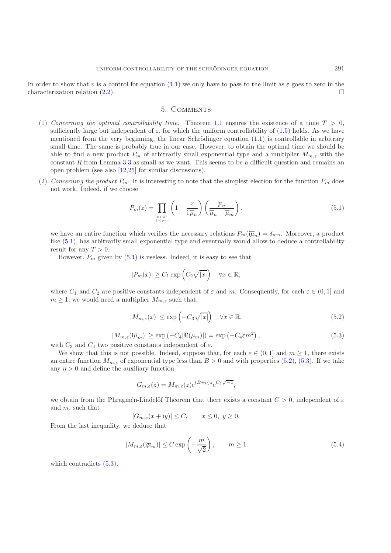#### 5. Comments

- (1) *Concerning the optimal controllability time.* Theorem [1.1](#page-1-3) ensures the existence of a time  $T > 0$ , sufficiently large but independent of  $\varepsilon$ , for which the uniform controllability of [\(1.5\)](#page-1-0) holds. As we have mentioned from the very beginning, the linear Schrödinger equation  $(1.1)$  is controllable in arbitrary small time. The same is probably true in our case. However, to obtain the optimal time we should be able to find a new product  $P_m$  of arbitrarily small exponential type and a multiplier  $M_{m,\varepsilon}$  with the constant  $R$  from Lemma  $3.3$  as small as we want. This seems to be a difficult question and remains and open problem (see also [\[12](#page-16-9)[,25](#page-16-20)] for similar discussions).
- (2) *Concerning the product*  $P_m$ . It is interesting to note that the simplest election for the function  $P_m$  does not work. Indeed, if we choose

$$
P_m(z) = \prod_{\substack{n \in \mathbb{Z}^* \\ |n| \neq m}} \left( 1 - \frac{z}{\mathrm{i} \,\overline{\mu}_n} \right) \left( \frac{\overline{\mu}_n}{\overline{\mu}_n - \overline{\mu}_m} \right),\tag{5.1}
$$

<span id="page-14-0"></span>we have an entire function which verifies the necessary relations  $P_m(i\overline{\mu}_n) = \delta_{mn}$ . Moreover, a product like  $(5.1)$ , has arbitrarily small exponential type and eventually would allow to deduce a controllability result for any  $T > 0$ .

However,  $P_m$  given by  $(5.1)$  is useless. Indeed, it is easy to see that

$$
|P_m(x)| \ge C_1 \exp\left(C_2 \sqrt{|x|}\right) \quad \forall x \in \mathbb{R},
$$

where  $C_1$  and  $C_2$  are positive constants independent of  $\varepsilon$  and m. Consequently, for each  $\varepsilon \in (0,1]$  and  $m \geq 1$ , we would need a multiplier  $M_{m,\varepsilon}$  such that,

$$
|M_{m,\varepsilon}(x)| \le \exp\left(-C_3\sqrt{|x|}\right) \quad \forall x \in \mathbb{R},\tag{5.2}
$$

<span id="page-14-1"></span>
$$
|M_{m,\varepsilon}(\overline{\mu}_m)| \ge \exp\left(-C_4 |\Re(\mu_m)|\right) = \exp\left(-C_4 \varepsilon m^2\right),\tag{5.3}
$$

<span id="page-14-2"></span>with  $C_3$  and  $C_4$  two positive constants independent of  $\varepsilon$ .<br>We show that this is not possible. Indeed, suppose the

We show that this is not possible. Indeed, suppose that, for each  $\varepsilon \in (0,1]$  and  $m \geq 1$ , there exists an entire function  $M_{m,\varepsilon}$  of exponential type less than  $B > 0$  and with properties [\(5.2\)](#page-14-1), [\(5.3\)](#page-14-2). If we take any  $\eta > 0$  and define the auxiliary function

$$
G_{m,\varepsilon}(z) = M_{m,\varepsilon}(z) e^{(B+\eta)z} e^{C_3 \sqrt{-z}},
$$

we obtain from the Phragmén-Lindelöf Theorem that there exists a constant  $C > 0$ , independent of  $\varepsilon$ and m, such that

$$
|G_{m,\varepsilon}(x+iy)| \le C, \qquad x \le 0, \ y \ge 0.
$$

From the last inequality, we deduce that

$$
|M_{m,\varepsilon}(i\overline{\mu}_m)| \le C \exp\left(-\frac{m}{\sqrt{2}}\right), \qquad m \ge 1
$$
\n(5.4)

which contradicts  $(5.3)$ .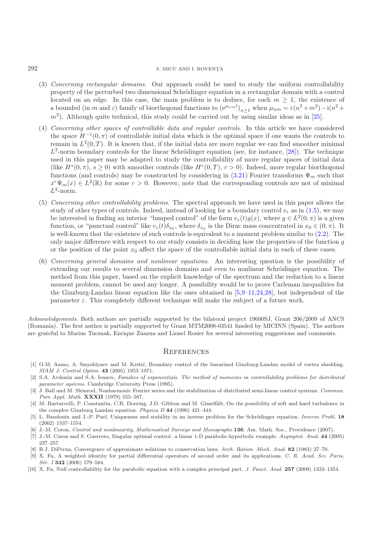## $292$  S. MICU AND I. ROVENTA

- (3) *Concerning rectangular domains*. Our approach could be used to study the uniform controllability property of the perturbed two dimensional Schrödinger equation in a rectangular domain with a control located on an edge. In this case, the main problem is to deduce, for each  $m \geq 1$ , the existence of located on an edge. In this case, the main problem is to deduce, for each  $m \geq 1$ , the existence of a bounded (in m and  $\varepsilon$ ) family of biorthogonal functions to  $(e^{\mu n}m^t)$  when  $\mu = \varepsilon(n^2 + m^2) - i(n^2 + 1)$ a bounded (in m and  $\varepsilon$ ) family of biorthogonal functions to  $(e^{\mu_n m t})_{n\geq 1}$  when  $\mu_{nm} = \varepsilon(n^2 + m^2) - i(n^2 + m^2)$ <br>m<sup>2</sup>) Although quite tophysel, this study sould be counted out by using similar ideas as in [25]  $m<sup>2</sup>$ ). Although quite technical, this study could be carried out by using similar ideas as in [\[25\]](#page-16-20).
- (4) *Concerning other spaces of controllable data and regular controls*. In this article we have considered the space  $H^{-1}(0, \pi)$  of controllable initial data which is the optimal space if one wants the controls to remain in  $L^2(0,T)$ . It is known that, if the initial data are more regular we can find smoother minimal  $L^2$ -norm boundary controls for the linear Schrödinger equation (see, for instance, [\[28\]](#page-16-6)). The technique used in this paper may be adapted to study the controllability of more regular spaces of initial data (like  $H<sup>s</sup>(0, \pi)$ ,  $s \ge 0$ ) with smoother controls (like  $H<sup>r</sup>(0,T)$ ,  $r > 0$ ). Indeed, more regular biorthogonal functions (and controls) may be constructed by considering in [\(3.21\)](#page-11-3) Fourier transforms  $\Psi_m$  such that  $x^r\Psi_m(x) \in L^2(\mathbb{R})$  for some  $r > 0$ . However, note that the corresponding controls are not of minimal  $L^2$ -norm.
- (5) *Concerning other controllability problems*. The spectral approach we have used in this paper allows the study of other types of controls. Indeed, instead of looking for a boundary control  $v_{\varepsilon}$  as in [\(1.5\)](#page-1-0), we may be interested in finding an interior "lumped control" of the form  $v_{\varepsilon}(t)g(x)$ , where  $g \in L^2(0, \pi)$  is a given function, or "punctual control" like  $v_{\varepsilon}(t)\delta_{x_0}$ , where  $\delta_{x_0}$  is the Dirac mass concentrated in  $x_0 \in (0, \pi)$ . It is well-known that the existence of such controls is equivalent to a moment problem similar to [\(2.2\)](#page-3-1). The only major difference with respect to our study consists in deciding how the properties of the function  $q$ or the position of the point  $x_0$  affect the space of the controllable initial data in each of these cases.
- (6) *Concerning general domains and nonlinear equations*. An interesting question is the possibility of extending our results to several dimension domains and even to nonlinear Schrödinger equation. The method from this paper, based on the explicit knowledge of the spectrum and the reduction to a linear moment problem, cannot be used any longer. A possibility would be to prove Carleman inequalities for the Ginzburg-Landau linear equation like the ones obtained in [\[5](#page-15-9)[,9](#page-15-3)[–11](#page-16-21)[,24](#page-16-22)[,28](#page-16-6)], but independent of the parameter  $\varepsilon$ . This completely different technique will make the subject of a future work.

*Acknowledgements*. Both authors are partially supported by the bilateral project 19600SJ, Grant 206/2009 of ANCS (Romania). The first author is partially supported by Grant MTM2008-03541 funded by MICINN (Spain). The authors are grateful to Marius Tucsnak, Enrique Zuazua and Lionel Rosier for several interesting suggestions and comments.

#### **REFERENCES**

- <span id="page-15-5"></span>[1] O.M. Aamo, A. Smyshlyaev and M. Krstić, Boundary control of the linearized Ginzburg-Landau model of vortex shedding. SIAM J. Control Optim. **43** (2005) 1953–1971.
- <span id="page-15-8"></span>[2] S.A. Avdonin and S.A. Ivanov, Families of exponentials. The method of moments in controllability problems for distributed parameter systems. Cambridge University Press (1995).
- <span id="page-15-1"></span>[3] J. Ball and M. Slemrod, Nonharmonic Fourier series and the stabilization of distributed semi-linear control systems. Commun. Pure Appl. Math. **XXXII** (1979) 555–587.
- <span id="page-15-2"></span>[4] M. Bartuccelli, P. Constantin, C.R. Doering, J.D. Gibbon and M. Gisselfält, On the possibility of soft and hard turbulence in the complex Ginzburg Landau equation. Physica D **44** (1990) 421–444.
- <span id="page-15-9"></span>[5] L. Baudouin and J.-P. Puel, Uniqueness and stability in an inverse problem for the Schrödinger equation. *Inverse Probl.* **18** (2002) 1537–1554.
- <span id="page-15-0"></span>[6] J.-M. Coron, Control and nonlinearity, Mathematical Surveys and Monographs **136**. Am. Math. Soc., Providence (2007).
- <span id="page-15-7"></span>[7] J.-M. Coron and S. Guerrero, Singular optimal control: a linear 1-D parabolic-hyperbolic example. Asymptot. Anal. **44** (2005) 237–257.
- [8] R.J. DiPerna, Convergence of approximate solutions to conservation laws. Arch. Ration. Mech. Anal. **82** (1983) 27–70.
- <span id="page-15-6"></span>[9] X. Fu, A weighted identity for partial differential operators of second order and its applications. C. R. Acad. Sci. Paris, Sér. I **342** (2006) 579–584.
- <span id="page-15-4"></span><span id="page-15-3"></span>[10] X. Fu, Null controllability for the parabolic equation with a complex principal part. J. Funct. Anal. **257** (2009) 1333–1354.